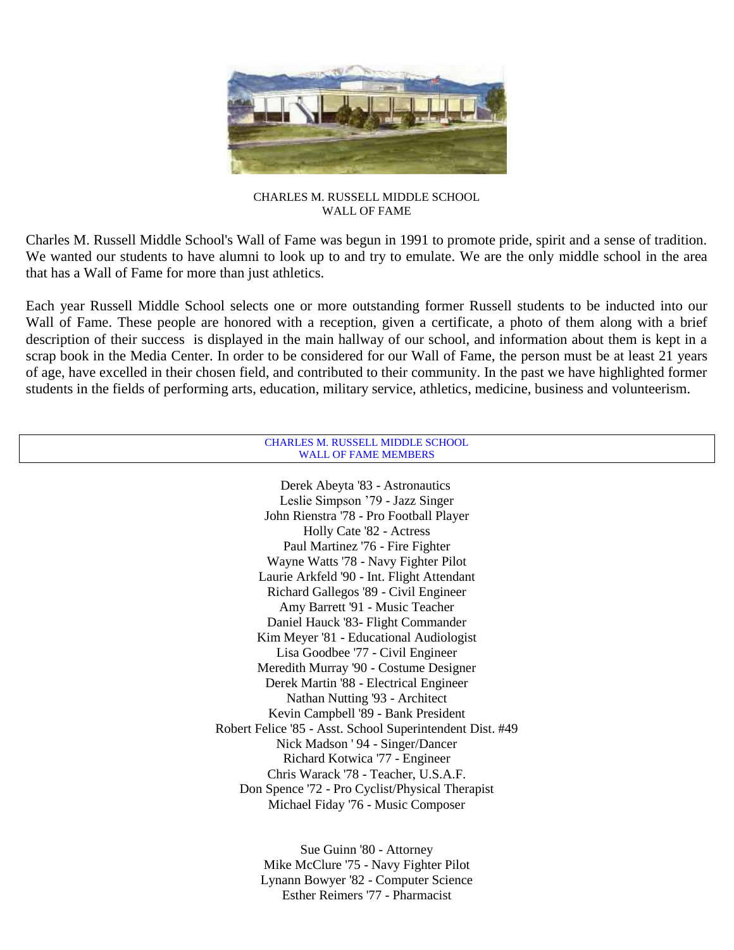

CHARLES M. RUSSELL MIDDLE SCHOOL WALL OF FAME

Charles M. Russell Middle School's Wall of Fame was begun in 1991 to promote pride, spirit and a sense of tradition. We wanted our students to have alumni to look up to and try to emulate. We are the only middle school in the area that has a Wall of Fame for more than just athletics.

Each year Russell Middle School selects one or more outstanding former Russell students to be inducted into our Wall of Fame. These people are honored with a reception, given a certificate, a photo of them along with a brief description of their success is displayed in the main hallway of our school, and information about them is kept in a scrap book in the Media Center. In order to be considered for our Wall of Fame, the person must be at least 21 years of age, have excelled in their chosen field, and contributed to their community. In the past we have highlighted former students in the fields of performing arts, education, military service, athletics, medicine, business and volunteerism.

| <b>CHARLES M. RUSSELL MIDDLE SCHOOL</b>                   |  |
|-----------------------------------------------------------|--|
| <b>WALL OF FAME MEMBERS</b>                               |  |
|                                                           |  |
| Derek Abeyta '83 - Astronautics                           |  |
| Leslie Simpson '79 - Jazz Singer                          |  |
| John Rienstra '78 - Pro Football Player                   |  |
| Holly Cate '82 - Actress                                  |  |
| Paul Martinez '76 - Fire Fighter                          |  |
| Wayne Watts '78 - Navy Fighter Pilot                      |  |
| Laurie Arkfeld '90 - Int. Flight Attendant                |  |
| Richard Gallegos '89 - Civil Engineer                     |  |
| Amy Barrett '91 - Music Teacher                           |  |
| Daniel Hauck '83- Flight Commander                        |  |
| Kim Meyer '81 - Educational Audiologist                   |  |
| Lisa Goodbee '77 - Civil Engineer                         |  |
| Meredith Murray '90 - Costume Designer                    |  |
| Derek Martin '88 - Electrical Engineer                    |  |
| Nathan Nutting '93 - Architect                            |  |
| Kevin Campbell '89 - Bank President                       |  |
| Robert Felice '85 - Asst. School Superintendent Dist. #49 |  |
| Nick Madson '94 - Singer/Dancer                           |  |
| Richard Kotwica '77 - Engineer                            |  |
| Chris Warack '78 - Teacher, U.S.A.F.                      |  |
| Don Spence '72 - Pro Cyclist/Physical Therapist           |  |
| Michael Fiday '76 - Music Composer                        |  |
|                                                           |  |
| Sue Guinn '80 - Attorney                                  |  |
| Mike McClure '75 - Navy Fighter Pilot                     |  |
| Lynann Bowyer '82 - Computer Science                      |  |

Esther Reimers '77 - Pharmacist